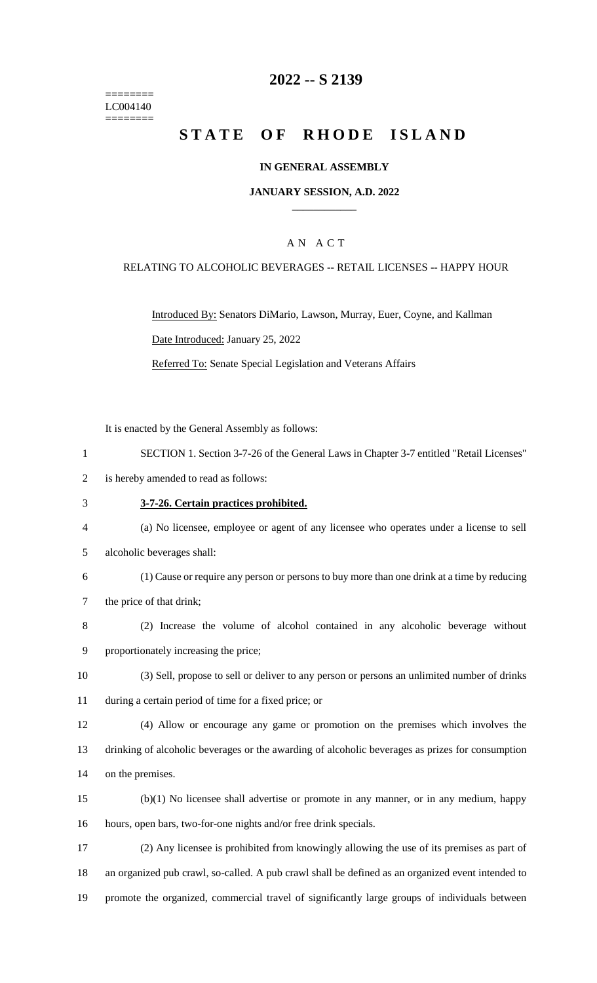======== LC004140 ========

# **-- S 2139**

# **STATE OF RHODE ISLAND**

#### **IN GENERAL ASSEMBLY**

#### **JANUARY SESSION, A.D. 2022 \_\_\_\_\_\_\_\_\_\_\_\_**

### A N A C T

#### RELATING TO ALCOHOLIC BEVERAGES -- RETAIL LICENSES -- HAPPY HOUR

Introduced By: Senators DiMario, Lawson, Murray, Euer, Coyne, and Kallman Date Introduced: January 25, 2022

Referred To: Senate Special Legislation and Veterans Affairs

It is enacted by the General Assembly as follows:

- SECTION 1. Section 3-7-26 of the General Laws in Chapter 3-7 entitled "Retail Licenses"
- is hereby amended to read as follows:
- **3-7-26. Certain practices prohibited.**
- (a) No licensee, employee or agent of any licensee who operates under a license to sell
- alcoholic beverages shall:
- (1) Cause or require any person or persons to buy more than one drink at a time by reducing the price of that drink;
- (2) Increase the volume of alcohol contained in any alcoholic beverage without proportionately increasing the price;
- (3) Sell, propose to sell or deliver to any person or persons an unlimited number of drinks during a certain period of time for a fixed price; or
- (4) Allow or encourage any game or promotion on the premises which involves the drinking of alcoholic beverages or the awarding of alcoholic beverages as prizes for consumption on the premises.
- (b)(1) No licensee shall advertise or promote in any manner, or in any medium, happy hours, open bars, two-for-one nights and/or free drink specials.
- (2) Any licensee is prohibited from knowingly allowing the use of its premises as part of an organized pub crawl, so-called. A pub crawl shall be defined as an organized event intended to promote the organized, commercial travel of significantly large groups of individuals between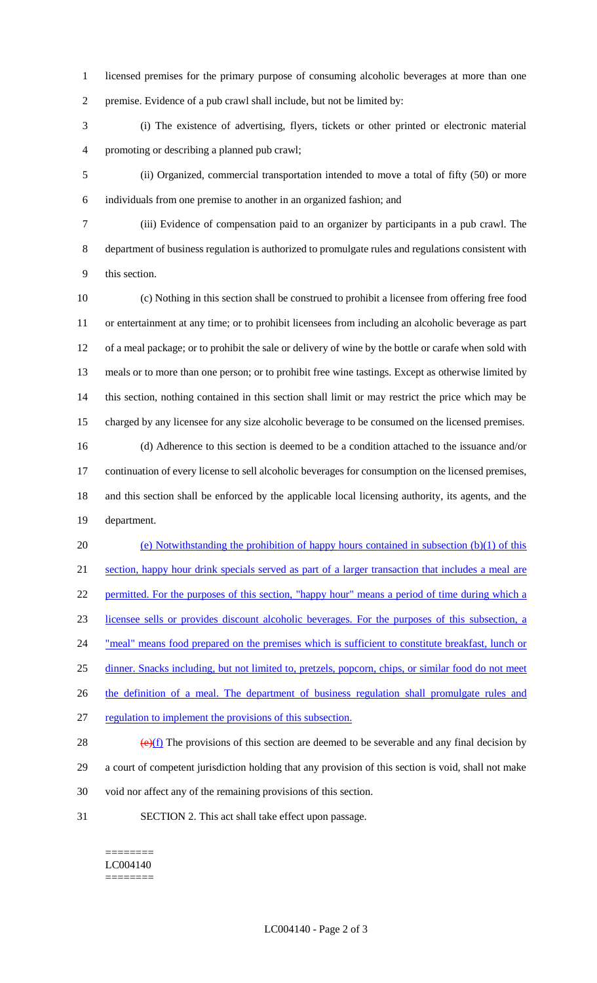licensed premises for the primary purpose of consuming alcoholic beverages at more than one premise. Evidence of a pub crawl shall include, but not be limited by:

 (i) The existence of advertising, flyers, tickets or other printed or electronic material promoting or describing a planned pub crawl;

 (ii) Organized, commercial transportation intended to move a total of fifty (50) or more individuals from one premise to another in an organized fashion; and

 (iii) Evidence of compensation paid to an organizer by participants in a pub crawl. The department of business regulation is authorized to promulgate rules and regulations consistent with this section.

 (c) Nothing in this section shall be construed to prohibit a licensee from offering free food or entertainment at any time; or to prohibit licensees from including an alcoholic beverage as part of a meal package; or to prohibit the sale or delivery of wine by the bottle or carafe when sold with meals or to more than one person; or to prohibit free wine tastings. Except as otherwise limited by this section, nothing contained in this section shall limit or may restrict the price which may be charged by any licensee for any size alcoholic beverage to be consumed on the licensed premises.

 (d) Adherence to this section is deemed to be a condition attached to the issuance and/or continuation of every license to sell alcoholic beverages for consumption on the licensed premises, and this section shall be enforced by the applicable local licensing authority, its agents, and the department.

 (e) Notwithstanding the prohibition of happy hours contained in subsection (b)(1) of this section, happy hour drink specials served as part of a larger transaction that includes a meal are 22 permitted. For the purposes of this section, "happy hour" means a period of time during which a licensee sells or provides discount alcoholic beverages. For the purposes of this subsection, a 24 "meal" means food prepared on the premises which is sufficient to constitute breakfast, lunch or dinner. Snacks including, but not limited to, pretzels, popcorn, chips, or similar food do not meet 26 the definition of a meal. The department of business regulation shall promulgate rules and regulation to implement the provisions of this subsection.  $\left(\frac{e}{f}\right)$  The provisions of this section are deemed to be severable and any final decision by

 a court of competent jurisdiction holding that any provision of this section is void, shall not make void nor affect any of the remaining provisions of this section.

SECTION 2. This act shall take effect upon passage.

======== LC004140 ========